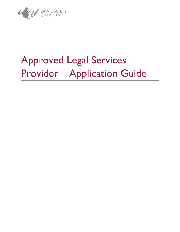

# Approved Legal Services Provider – Application Guide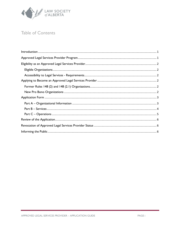

# Table of Contents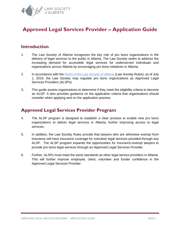

# **Approved Legal Services Provider – Application Guide**

## <span id="page-2-0"></span>**Introduction**

- 1. The Law Society of Alberta recognizes the key role of pro bono organizations in the delivery of legal services to the public in Alberta. The Law Society seeks to address the increasing demand for accessible legal services for underserved individuals and organizations across Alberta by encouraging pro bono initiatives in Alberta.
- 2. In accordance with the *[Rules of the Law Society of Alberta](https://dvbat5idxh7ib.cloudfront.net/wp-content/uploads/2017/01/04144612/Rules.pdf)* (Law Society Rules), as of July 1, 2019, the Law Society may regulate pro bono organizations as Approved Legal Services Providers (ALSPs).
- 3. This guide assists organizations to determine if they meet the eligibility criteria to become an ALSP. It also provides guidance on the application criteria that organizations should consider when applying and on the application process.

## <span id="page-2-1"></span>**Approved Legal Services Provider Program**

- 4. The ALSP program is designed to establish a clear process to enable new pro bono organizations to deliver legal services in Alberta, further improving access to legal services.
- 5. In addition, the Law Society Rules provide that lawyers who are otherwise exempt from insurance will have insurance coverage for volunteer legal services provided through any ALSP. The ALSP program expands the opportunities for insurance-exempt lawyers to provide pro bono legal services through an Approved Legal Services Provider.
- 6. Further, ALSPs must meet the same standards as other legal service providers in Alberta. This will further improve employee, client, volunteer and funder confidence in the Approved Legal Services Provider.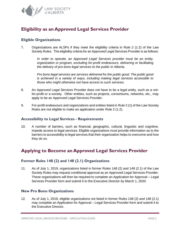

# <span id="page-3-0"></span>**Eligibility as an Approved Legal Services Provider**

#### <span id="page-3-1"></span>**Eligible Organizations**

7. Organizations are ALSPs if they meet the eligibility criteria in Rule 2 (1.2) of the Law Society Rules. The eligibility criteria for an Approved Legal Services Provider is as follows:

> *In order to operate, an Approved Legal Services provider must be an entity, organization or program, excluding for-profit endeavours, delivering or facilitating the delivery of pro bono legal services to the public in Alberta.*

> *Pro bono legal services are services delivered for the public good. The public good is achieved in a variety of ways, including making legal services accessible to those who might otherwise not have access to such services.*

- 8. An Approved Legal Services Provider does not have to be a legal entity, such as a notfor-profit or a society. Other entities, such as projects, consortiums, networks, etc., may apply to be an Approved Legal Services Provider.
- 9. For-profit endeavours and organizations and entities listed in Rule 2 (1) of the Law Society Rules are not eligible to make an application under Rule 2 (1.2).

#### <span id="page-3-2"></span>**Accessibility to Legal Services - Requirements**

10. A number of barriers, such as financial, geographic, cultural, linguistic and cognitive, impede access to legal services. Eligible organizations must provide information as to the barriers to accessibility to legal services that their organization helps to overcome and how they do so.

## <span id="page-3-3"></span>**Applying to Become an Approved Legal Services Provider**

#### <span id="page-3-4"></span>**Former Rules 148 (2) and 148 (2.1) Organizations**

11. As of July 1, 2019, organizations listed in former Rules 148 (2) and 148 (2.1) of the Law Society Rules may request conditional approval as an Approved Legal Services Provider. These organizations will then be required to complete an Application for Approval – Legal Services Provider form and submit it to the Executive Director by March 1, 2020.

#### <span id="page-3-5"></span>**New Pro Bono Organizations**

12. As of July 1, 2019, eligible organizations not listed in former Rules 148 (2) and 148 (2.1) may complete an Application for Approval – Legal Services Provider form and submit it to the Executive Director.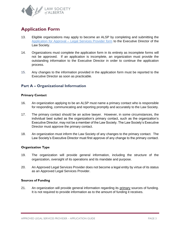

# <span id="page-4-0"></span>**Application Form**

- 13. Eligible organizations may apply to become an ALSP by completing and submitting the Application for Approval – [Legal Services Provider form](https://www.lawsociety.ab.ca/lawyers-and-students/approved-legal-s…roviders-program/) to the Executive Director of the Law Society.
- 14. Organizations must complete the application form in its entirety as incomplete forms will not be approved. If an application is incomplete, an organization must provide the outstanding information to the Executive Director in order to continue the application process.
- 15. Any changes to the information provided in the application form must be reported to the Executive Director as soon as practicable.

#### <span id="page-4-1"></span>**Part A – Organizational Information**

#### **Primary Contact**

- 16. An organization applying to be an ALSP must name a primary contact who is responsible for responding, communicating and reporting promptly and accurately to the Law Society.
- 17. The primary contact should be an active lawyer. However, in some circumstances, the individual best suited as the organization's primary contact, such as the organization's Executive Director, may not be a member of the Law Society. The Law Society's Executive Director must approve the primary contact.
- 18. An organization must inform the Law Society of any changes to the primary contact. The Law Society's Executive Director must first approve of any change to the primary contact.

#### **Organization Type**

- 19. The organization will provide general information, including the structure of the organization, oversight of its operations and its mandate and purpose.
- 20. An Approved Legal Services Provider does not become a legal entity by virtue of its status as an Approved Legal Services Provider.

#### **Sources of Funding**

21. An organization will provide general information regarding its primary sources of funding. It is not required to provide information as to the amount of funding it receives.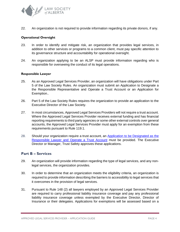

22. An organization is not required to provide information regarding its private donors, if any.

#### **Operational Oversight**

- 23. In order to identify and mitigate risk, an organization that provides legal services, in addition to other services or programs to a common client, must pay specific attention to its governance structure and accountability for operational oversight.
- 24. An organization applying to be an ALSP must provide information regarding who is responsible for overseeing the conduct of its legal operations.

#### **Responsible Lawyer**

- 25. As an Approved Legal Services Provider, an organization will have obligations under Part 5 of the Law Society Rules. An organization must submit an Application to Designate a the Responsible Representative and Operate a Trust Account or an Application for Exemption..
- 26. Part 5 of the Law Society Rules requires the organization to provide an application to the Executive Director of the Law Society.
- 27. In most circumstances, Approved Legal Services Providers will not require a trust account. Where the Approved Legal Services Provider receives external funding and has financial reporting requirements to third party agencies or some other external controls over general accounts, the Approved Legal Services Provider must apply for an exemption from these requirements pursuant to Rule 119.1.
- 28. Should your organization require a trust account, an [Application to be Designated as the](https://dvbat5idxh7ib.cloudfront.net/wp-content/uploads/2017/07/04155726/Form_5-TS_Application_Designate_RL_or_Operate_TA.pdf)  [Responsible Lawyer and Operate a Trust Account](https://dvbat5idxh7ib.cloudfront.net/wp-content/uploads/2017/07/04155726/Form_5-TS_Application_Designate_RL_or_Operate_TA.pdf) must be provided. The Executive Director or Manager, Trust Safety approves these applications.

#### <span id="page-5-0"></span>**Part B – Services**

- 29. An organization will provide information regarding the type of legal services, and any nonlegal services, the organization provides.
- 30. In order to determine that an organization meets the eligibility criteria, an organization is required to provide information describing the barriers to accessibility to legal services that it overcomes in the provision of legal services.
- 31. Pursuant to Rule 148 (2) all lawyers employed by an Approved Legal Services Provider are required to carry professional liability insurance coverage and pay any professional liability insurance coverage unless exempted by the Executive Director, Director of Insurance or their delegates. Applications for exemptions will be assessed based on a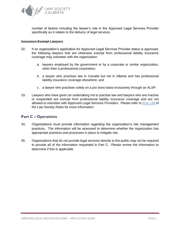

number of factors including the lawyer's role in the Approved Legal Services Provider specifically as it relates to the delivery of legal services.

#### **Insurance-Exempt Lawyers**

- 32. If an organization's application for Approved Legal Services Provider status is approved, the following lawyers that are otherwise exempt from professional liability insurance coverage may volunteer with the organization:
	- a. lawyers employed by the government or by a corporate or similar organization, other than a professional corporation;
	- b. a lawyer who practises law in Canada but not in Alberta and has professional liability insurance coverage elsewhere; and
	- c. a lawyer who practises solely on a pro bono basis exclusively through an ALSP.
- 33. Lawyers who have given an undertaking not to practise law and lawyers who are inactive or suspended are exempt from professional liability insurance coverage and are not allowed to volunteer with Approved Legal Services Providers. Please refer to [Rule 148](https://dvbat5idxh7ib.cloudfront.net/wp-content/uploads/2017/01/04144612/Rules.pdf) of the Law Society Rules for more information.

#### <span id="page-6-0"></span>**Part C – Operations**

- 34. Organizations must provide information regarding the organization's risk management practices. The information will be assessed to determine whether the organization has appropriate practices and processes in place to mitigate risk.
- <span id="page-6-1"></span>35. Organizations that do not provide legal services directly to the public may not be required to provide all of the information requested in Part C. Please review the information to determine if this is applicable.